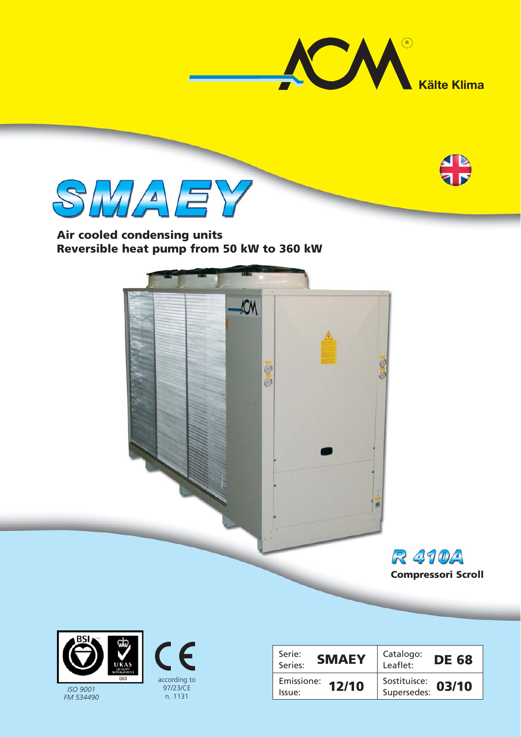





## **Air cooled condensing units Reversible heat pump from 50 kW to 360 kW**





*FM 534490*



| <b>JUALITY</b>                                                            | Serie:<br><b>SMAEY</b><br>Series: | Catalogo:<br><b>DE 68</b><br>۔<br>:Leaflet |
|---------------------------------------------------------------------------|-----------------------------------|--------------------------------------------|
| 003<br>according to<br>97/23/CE<br><b>ISO 9001</b><br>n. 1131<br>M 534490 | Emissione: $12/10$<br>Issue:      | Sostituisce:<br>03/10<br>Supersedes:       |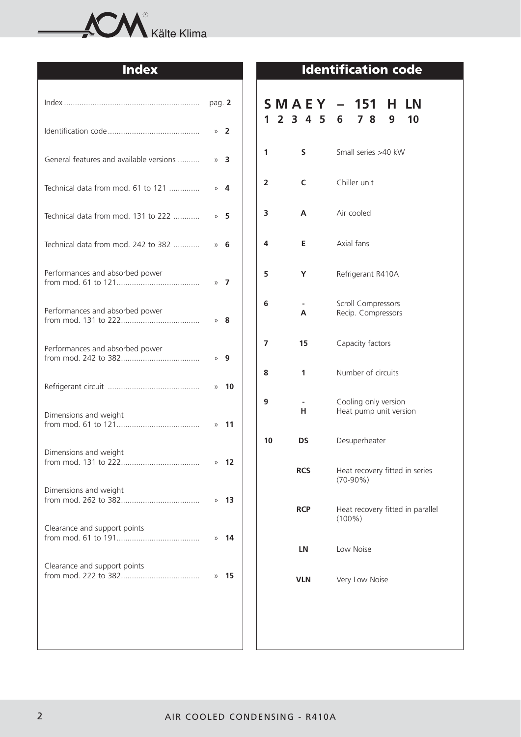

|                                         | pag. $2$        |
|-----------------------------------------|-----------------|
|                                         | $\times$ 2      |
| General features and available versions | $\times$ 3      |
| Technical data from mod. 61 to 121      | $\lambda$ 4     |
| Technical data from mod. 131 to 222     | 5<br>$\rangle$  |
| Technical data from mod. 242 to 382     | 6<br>$\gg$      |
| Performances and absorbed power         | 7<br>$\rangle$  |
| Performances and absorbed power         | 8<br>$\gg$      |
| Performances and absorbed power         | $\lambda$ 9     |
|                                         | 10<br>$\rangle$ |
| Dimensions and weight                   | 11<br>$\rangle$ |
| Dimensions and weight                   | $v$ 12          |
| Dimensions and weight                   | 13<br>$\rangle$ |
| Clearance and support points            | 14<br>$\rangle$ |
| Clearance and support points            | 15<br>$\rangle$ |
|                                         |                 |
|                                         |                 |

# **Index Identification code**

|    |                         | <b>SMAEY – 151 H</b><br>LN<br>1 2 3 4 5 6 7 8 9<br>10 |  |  |  |  |  |  |  |  |  |
|----|-------------------------|-------------------------------------------------------|--|--|--|--|--|--|--|--|--|
| 1  | S                       | Small series >40 kW                                   |  |  |  |  |  |  |  |  |  |
| 2  | C                       | Chiller unit                                          |  |  |  |  |  |  |  |  |  |
| 3  | A                       | Air cooled                                            |  |  |  |  |  |  |  |  |  |
| 4  | E                       | Axial fans                                            |  |  |  |  |  |  |  |  |  |
| 5  | Υ                       | Refrigerant R410A                                     |  |  |  |  |  |  |  |  |  |
| 6  | $\overline{\mathsf{A}}$ | Scroll Compressors<br>Recip. Compressors              |  |  |  |  |  |  |  |  |  |
| 7  | 15                      | Capacity factors                                      |  |  |  |  |  |  |  |  |  |
| 8  | 1                       | Number of circuits                                    |  |  |  |  |  |  |  |  |  |
| 9  | н                       | Cooling only version<br>Heat pump unit version        |  |  |  |  |  |  |  |  |  |
| 10 | DS                      | Desuperheater                                         |  |  |  |  |  |  |  |  |  |
|    | <b>RCS</b>              | Heat recovery fitted in series<br>$(70-90%)$          |  |  |  |  |  |  |  |  |  |
|    | <b>RCP</b>              | Heat recovery fitted in parallel<br>$(100\%)$         |  |  |  |  |  |  |  |  |  |
|    | LN                      | Low Noise                                             |  |  |  |  |  |  |  |  |  |
|    | <b>VLN</b>              | Very Low Noise                                        |  |  |  |  |  |  |  |  |  |
|    |                         |                                                       |  |  |  |  |  |  |  |  |  |
|    |                         |                                                       |  |  |  |  |  |  |  |  |  |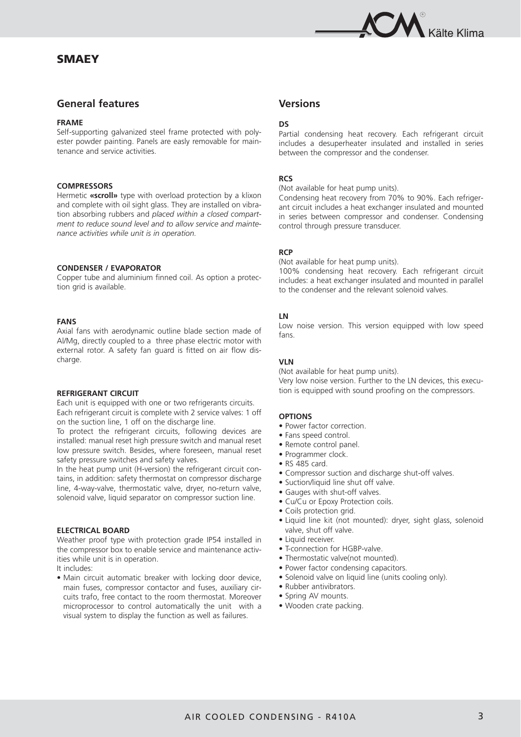### **SMAEY**



### **General features**

### **FRAME**

Self-supporting galvanized steel frame protected with polyester powder painting. Panels are easly removable for maintenance and service activities.

### **COMPRESSORS**

Hermetic **«scroll»** type with overload protection by a klixon and complete with oil sight glass. They are installed on vibration absorbing rubbers and *placed within a closed compartment to reduce sound level and to allow service and maintenance activities while unit is in operation.*

### **CONDENSER / EVAPORATOR**

Copper tube and aluminium finned coil. As option a protection grid is available.

### **FANS**

Axial fans with aerodynamic outline blade section made of Al/Mg, directly coupled to a three phase electric motor with external rotor. A safety fan guard is fitted on air flow discharge.

### **REFRIGERANT CIRCUIT**

Each unit is equipped with one or two refrigerants circuits. Each refrigerant circuit is complete with 2 service valves: 1 off on the suction line, 1 off on the discharge line.

To protect the refrigerant circuits, following devices are installed: manual reset high pressure switch and manual reset low pressure switch. Besides, where foreseen, manual reset safety pressure switches and safety valves.

In the heat pump unit (H-version) the refrigerant circuit contains, in addition: safety thermostat on compressor discharge line, 4-way-valve, thermostatic valve, dryer, no-return valve, solenoid valve, liquid separator on compressor suction line.

### **ELECTRICAL BOARD**

Weather proof type with protection grade IP54 installed in the compressor box to enable service and maintenance activities while unit is in operation.

It includes:

• Main circuit automatic breaker with locking door device, main fuses, compressor contactor and fuses, auxiliary circuits trafo, free contact to the room thermostat. Moreover microprocessor to control automatically the unit with a visual system to display the function as well as failures.

### **Versions**

### **DS**

Partial condensing heat recovery. Each refrigerant circuit includes a desuperheater insulated and installed in series between the compressor and the condenser.

### **RCS**

(Not available for heat pump units).

Condensing heat recovery from 70% to 90%. Each refrigerant circuit includes a heat exchanger insulated and mounted in series between compressor and condenser. Condensing control through pressure transducer.

### **RCP**

(Not available for heat pump units).

100% condensing heat recovery. Each refrigerant circuit includes: a heat exchanger insulated and mounted in parallel to the condenser and the relevant solenoid valves.

### **LN**

Low noise version. This version equipped with low speed fans.

### **VLN**

(Not available for heat pump units).

Very low noise version. Further to the LN devices, this execution is equipped with sound proofing on the compressors.

### **OPTIONS**

- Power factor correction.
- Fans speed control.
- Remote control panel.
- Programmer clock.
- RS 485 card.
- Compressor suction and discharge shut-off valves.
- Suction/liquid line shut off valve.
- Gauges with shut-off valves.
- Cu/Cu or Epoxy Protection coils.
- Coils protection grid.
- Liquid line kit (not mounted): dryer, sight glass, solenoid valve, shut off valve.
- Liquid receiver.
- T-connection for HGBP-valve.
- Thermostatic valve(not mounted).
- Power factor condensing capacitors.
- Solenoid valve on liquid line (units cooling only).
- Rubber antivibrators.
- Spring AV mounts.
- Wooden crate packing.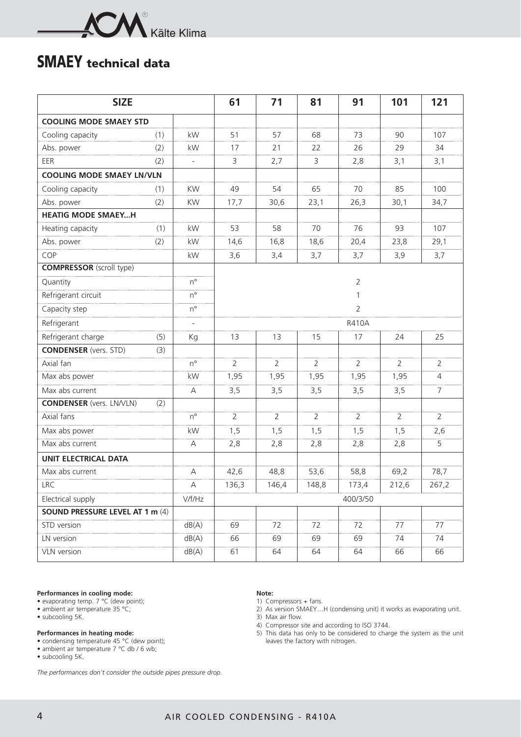

## **SMAEY technical data**

| <b>SIZE</b>                      |     |                          | 61    | 71             | 81             | 91             | 101            | 121            |
|----------------------------------|-----|--------------------------|-------|----------------|----------------|----------------|----------------|----------------|
| <b>COOLING MODE SMAEY STD</b>    |     |                          |       |                |                |                |                |                |
| Cooling capacity                 | (1) | kW                       | 51    | 57             | 68             | 73             | 90             | 107            |
| Abs. power                       | (2) | kW                       | 17    | 21             | 22             | 26             | 29             | 34             |
| EER                              | (2) | $\overline{\phantom{a}}$ | 3     | 2,7            | 3              | 2,8            | 3,1            | 3,1            |
| <b>COOLING MODE SMAEY LN/VLN</b> |     |                          |       |                |                |                |                |                |
| Cooling capacity                 | (1) | KW                       | 49    | 54             | 65             | 70             | 85             | 100            |
| Abs. power                       | (2) | KW                       | 17,7  | 30,6           | 23,1           | 26,3           | 30,1           | 34,7           |
| <b>HEATIG MODE SMAEYH</b>        |     |                          |       |                |                |                |                |                |
| Heating capacity                 | (1) | kW                       | 53    | 58             | 70             | 76             | 93             | 107            |
| Abs. power                       | (2) | kW                       | 14,6  | 16,8           | 18,6           | 20,4           | 23,8           | 29,1           |
| COP                              |     | kW                       | 3,6   | 3,4            | 3,7            | 3,7            | 3,9            | 3,7            |
| <b>COMPRESSOR</b> (scroll type)  |     |                          |       |                |                |                |                |                |
| Quantity                         |     | $n^{\circ}$              |       |                |                | $\overline{2}$ |                |                |
| Refrigerant circuit              |     | $n^{\circ}$              |       |                |                | $\mathbf{1}$   |                |                |
| Capacity step                    |     | $n^{\circ}$              |       |                |                | $\overline{2}$ |                |                |
| Refrigerant                      |     | $\overline{\phantom{a}}$ |       |                |                | <b>R410A</b>   |                |                |
| Refrigerant charge               | (5) | Kg                       | 13    | 13             | 15             | 17             | 24             | 25             |
| <b>CONDENSER</b> (vers. STD)     | (3) |                          |       |                |                |                |                |                |
| Axial fan                        |     | $n^{\circ}$              | 2     | $\overline{2}$ | $\overline{2}$ | $\overline{2}$ | $\overline{2}$ | $\overline{2}$ |
| Max abs power                    |     | kW                       | 1,95  | 1,95           | 1,95           | 1,95           | 1,95           | $\overline{4}$ |
| Max abs current                  |     | А                        | 3,5   | 3,5            | 3,5            | 3,5            | 3,5            | $\overline{7}$ |
| <b>CONDENSER</b> (vers. LN/VLN)  | (2) |                          |       |                |                |                |                |                |
| Axial fans                       |     | $n^{\circ}$              | 2     | $\overline{2}$ | $\overline{2}$ | $\overline{2}$ | $\overline{2}$ | $\overline{2}$ |
| Max abs power                    |     | kW                       | 1,5   | 1,5            | 1,5            | 1,5            | 1,5            | 2,6            |
| Max abs current                  |     | А                        | 2,8   | 2,8            | 2,8            | 2,8            | 2,8            | 5              |
| <b>UNIT ELECTRICAL DATA</b>      |     |                          |       |                |                |                |                |                |
| Max abs current                  |     | $\forall$                | 42,6  | 48,8           | 53,6           | 58,8           | 69,2           | 78,7           |
| <b>LRC</b>                       |     | A                        | 136,3 | 146,4          | 148,8          | 173,4          | 212,6          | 267,2          |
| Electrical supply                |     | V/f/Hz                   |       |                |                | 400/3/50       |                |                |
| SOUND PRESSURE LEVEL AT 1 m (4)  |     |                          |       |                |                |                |                |                |
| STD version                      |     | dB(A)                    | 69    | 72             | 72             | 72             | 77             | 77             |
| LN version                       |     | dB(A)                    | 66    | 69             | 69             | 69             | 74             | 74             |
| VLN version                      |     | dB(A)                    | 61    | 64             | 64             | 64             | 66             | 66             |

### **Performances in cooling mode:**

- evaporating temp. 7 °C (dew point);
- ambient air temperature 35 °C;
- subcooling 5K.

#### **Performances in heating mode:**

- condensing temperature 45 °C (dew point);
- ambient air temperature 7 °C db / 6 wb;
- subcooling 5K.

*The performances don't consider the outside pipes pressure drop.*

#### **Note:**

- 1) Compressors + fans.
- 2) As version SMAEY…H (condensing unit) it works as evaporating unit.
- 3) Max air flow.
- 4) Compressor site and according to ISO 3744.
- 5) This data has only to be considered to charge the system as the unit leaves the factory with nitrogen.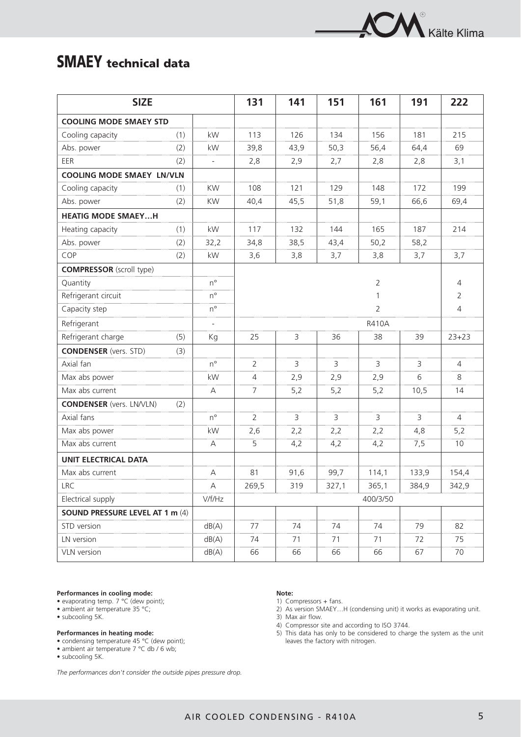

## **SMAEY technical data**

| <b>SIZE</b>                      |     |                          | 131            | 141  | 151   | 161            | 191   | 222            |
|----------------------------------|-----|--------------------------|----------------|------|-------|----------------|-------|----------------|
| <b>COOLING MODE SMAEY STD</b>    |     |                          |                |      |       |                |       |                |
| Cooling capacity                 | (1) | kW                       | 113            | 126  | 134   | 156            | 181   | 215            |
| Abs. power                       | (2) | kW                       | 39,8           | 43,9 | 50,3  | 56,4           | 64,4  | 69             |
| EER                              | (2) | $\overline{\phantom{a}}$ | 2,8            | 2,9  | 2,7   | 2,8            | 2,8   | 3,1            |
| <b>COOLING MODE SMAEY LN/VLN</b> |     |                          |                |      |       |                |       |                |
| Cooling capacity                 | (1) | KW                       | 108            | 121  | 129   | 148            | 172   | 199            |
| Abs. power                       | (2) | <b>KW</b>                | 40,4           | 45,5 | 51,8  | 59,1           | 66,6  | 69,4           |
| <b>HEATIG MODE SMAEYH</b>        |     |                          |                |      |       |                |       |                |
| Heating capacity                 | (1) | kW                       | 117            | 132  | 144   | 165            | 187   | 214            |
| Abs. power                       | (2) | 32,2                     | 34,8           | 38,5 | 43,4  | 50,2           | 58,2  |                |
| COP                              | (2) | kW                       | 3,6            | 3,8  | 3,7   | 3,8            | 3,7   | 3,7            |
| <b>COMPRESSOR</b> (scroll type)  |     |                          |                |      |       |                |       |                |
| Quantity                         |     | $n^{\circ}$              |                |      |       | $\overline{2}$ |       | 4              |
| Refrigerant circuit              |     | $n^{\circ}$              |                |      |       | $\mathbf{1}$   |       | $\overline{2}$ |
| Capacity step                    |     | $n^{\circ}$              |                |      |       | $\overline{2}$ |       | $\overline{4}$ |
| Refrigerant                      |     | $\overline{\phantom{a}}$ |                |      |       | <b>R410A</b>   |       |                |
| Refrigerant charge               | (5) | Kg                       | 25             | 3    | 36    | 38             | 39    | $23 + 23$      |
| <b>CONDENSER</b> (vers. STD)     | (3) |                          |                |      |       |                |       |                |
| Axial fan                        |     | $n^{\circ}$              | $\overline{2}$ | 3    | 3     | 3              | 3     | 4              |
| Max abs power                    |     | kW                       | $\overline{4}$ | 2,9  | 2,9   | 2,9            | 6     | 8              |
| Max abs current                  |     | А                        | $\overline{7}$ | 5,2  | 5,2   | 5,2            | 10,5  | 14             |
| <b>CONDENSER</b> (vers. LN/VLN)  | (2) |                          |                |      |       |                |       |                |
| Axial fans                       |     | $n^{\circ}$              | $\overline{2}$ | 3    | 3     | 3              | 3     | $\overline{4}$ |
| Max abs power                    |     | kW                       | 2,6            | 2,2  | 2,2   | 2,2            | 4,8   | 5,2            |
| Max abs current                  |     | А                        | 5              | 4,2  | 4,2   | 4,2            | 7,5   | 10             |
| <b>UNIT ELECTRICAL DATA</b>      |     |                          |                |      |       |                |       |                |
| Max abs current                  |     | $\mathsf A$              | 81             | 91,6 | 99,7  | 114,1          | 133,9 | 154,4          |
| <b>LRC</b>                       |     | A                        | 269,5          | 319  | 327,1 | 365,1          | 384,9 | 342,9          |
| Electrical supply                |     | V/f/Hz                   |                |      |       | 400/3/50       |       |                |
| SOUND PRESSURE LEVEL AT 1 m (4)  |     |                          |                |      |       |                |       |                |
| STD version                      |     | dB(A)                    | 77             | 74   | 74    | 74             | 79    | 82             |
| LN version                       |     | dB(A)                    | 74             | 71   | 71    | 71             | 72    | 75             |
| VLN version                      |     | dB(A)                    | 66             | 66   | 66    | 66             | 67    | 70             |

### **Performances in cooling mode:**

- evaporating temp. 7 °C (dew point);
- ambient air temperature 35 °C;
- subcooling 5K.

#### **Performances in heating mode:**

- condensing temperature 45 °C (dew point);
- ambient air temperature 7 °C db / 6 wb;
- subcooling 5K.

*The performances don't consider the outside pipes pressure drop.*

#### **Note:**

- 1) Compressors + fans.
- 2) As version SMAEY…H (condensing unit) it works as evaporating unit.

3) Max air flow.

- 4) Compressor site and according to ISO 3744.
- 5) This data has only to be considered to charge the system as the unit leaves the factory with nitrogen.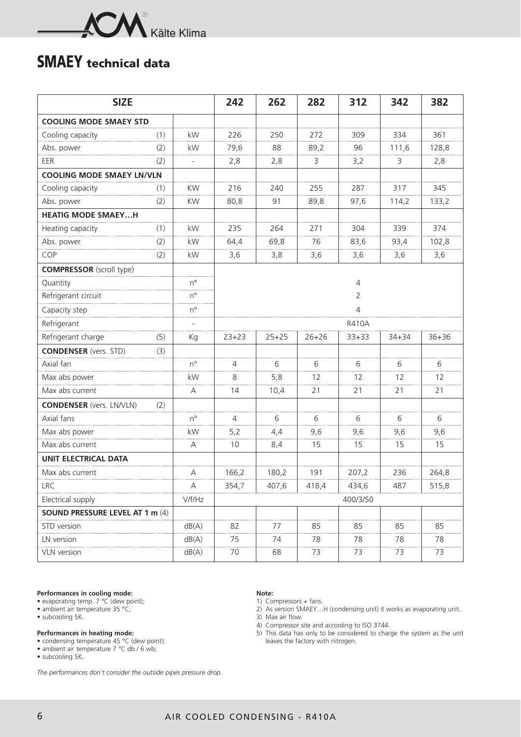

## **SMAEY technical data**

| <b>SIZE</b>                      |     |                          | 242            | 262       | 282       | 312          | 342       | 382       |  |  |  |  |
|----------------------------------|-----|--------------------------|----------------|-----------|-----------|--------------|-----------|-----------|--|--|--|--|
| <b>COOLING MODE SMAEY STD</b>    |     |                          |                |           |           |              |           |           |  |  |  |  |
| Cooling capacity                 | (1) | kW                       | 226            | 250       | 272       | 309          | 334       | 361       |  |  |  |  |
| Abs. power                       | (2) | kW                       | 79,6           | 88        | 89,2      | 96           | 111,6     | 128,8     |  |  |  |  |
| EER                              | (2) | $\overline{\phantom{a}}$ | 2,8            | 2,8       | 3         | 3,2          | 3         | 2,8       |  |  |  |  |
| <b>COOLING MODE SMAEY LN/VLN</b> |     |                          |                |           |           |              |           |           |  |  |  |  |
| Cooling capacity                 | (1) | <b>KW</b>                | 216            | 240       | 255       | 287          | 317       | 345       |  |  |  |  |
| Abs. power                       | (2) | <b>KW</b>                | 80,8           | 91        | 89,8      | 97,6         | 114,2     | 133,2     |  |  |  |  |
| <b>HEATIG MODE SMAEYH</b>        |     |                          |                |           |           |              |           |           |  |  |  |  |
| Heating capacity                 | (1) | kW                       | 235            | 264       | 271       | 304          | 339       | 374       |  |  |  |  |
| Abs. power                       | (2) | kW                       | 64,4           | 69,8      | 76        | 83,6         | 93,4      | 102,8     |  |  |  |  |
| COP                              | (2) | kW                       | 3,6            | 3,8       | 3,6       | 3,6          | 3,6       | 3,6       |  |  |  |  |
| <b>COMPRESSOR</b> (scroll type)  |     |                          |                |           |           |              |           |           |  |  |  |  |
| Quantity                         |     | $n^{\circ}$              |                |           |           | 4            |           |           |  |  |  |  |
| Refrigerant circuit              |     | $n^{\circ}$              |                |           |           | 2            |           |           |  |  |  |  |
| Capacity step                    |     | $n^{\circ}$              | 4              |           |           |              |           |           |  |  |  |  |
| Refrigerant                      |     |                          |                |           |           | <b>R410A</b> |           |           |  |  |  |  |
| Refrigerant charge               | (5) | Kg                       | $23 + 23$      | $25 + 25$ | $26 + 26$ | $33 + 33$    | $34 + 34$ | $36 + 36$ |  |  |  |  |
| <b>CONDENSER</b> (vers. STD)     | (3) |                          |                |           |           |              |           |           |  |  |  |  |
| Axial fan                        |     | $n^{\circ}$              | $\overline{4}$ | 6         | 6         | 6            | 6         | 6         |  |  |  |  |
| Max abs power                    |     | kW                       | 8              | 5,8       | 12        | 12           | 12        | 12        |  |  |  |  |
| Max abs current                  |     | A                        | 14             | 10,4      | 21        | 21           | 21        | 21        |  |  |  |  |
| <b>CONDENSER</b> (vers. LN/VLN)  | (2) |                          |                |           |           |              |           |           |  |  |  |  |
| Axial fans                       |     | $n^{\circ}$              | $\overline{4}$ | 6         | 6         | 6            | 6         | 6         |  |  |  |  |
| Max abs power                    |     | kW                       | 5,2            | 4,4       | 9,6       | 9,6          | 9,6       | 9,6       |  |  |  |  |
| Max abs current                  |     | А                        | 10             | 8,4       | 15        | 15           | 15        | 15        |  |  |  |  |
| <b>UNIT ELECTRICAL DATA</b>      |     |                          |                |           |           |              |           |           |  |  |  |  |
| Max abs current                  |     | Α                        | 166,2          | 180,2     | 191       | 207,2        | 236       | 264,8     |  |  |  |  |
| <b>LRC</b>                       |     | $\mathsf{A}$             | 354,7          | 407,6     | 418,4     | 434,6        | 487       | 515,8     |  |  |  |  |
| Electrical supply                |     | V/f/Hz                   |                |           |           | 400/3/50     |           |           |  |  |  |  |
| SOUND PRESSURE LEVEL AT 1 m (4)  |     |                          |                |           |           |              |           |           |  |  |  |  |
| STD version                      |     | dB(A)                    | 82             | 77        | 85        | 85           | 85        | 85        |  |  |  |  |
| LN version                       |     | dB(A)                    | 75             | 74        | 78        | 78           | 78        | 78        |  |  |  |  |
| VLN version                      |     | dB(A)                    | 70             | 68        | 73        | 73           | 73        | 73        |  |  |  |  |

### **Performances in cooling mode:**

- evaporating temp. 7 °C (dew point);
- ambient air temperature 35 °C;
- subcooling 5K.

#### **Performances in heating mode:**

- condensing temperature 45 °C (dew point);
- ambient air temperature 7 °C db / 6 wb;
- subcooling 5K.

*The performances don't consider the outside pipes pressure drop.*

#### **Note:**

- 1) Compressors + fans.
- 2) As version SMAEY…H (condensing unit) it works as evaporating unit.
- 3) Max air flow.
- 4) Compressor site and according to ISO 3744.
- 5) This data has only to be considered to charge the system as the unit leaves the factory with nitrogen.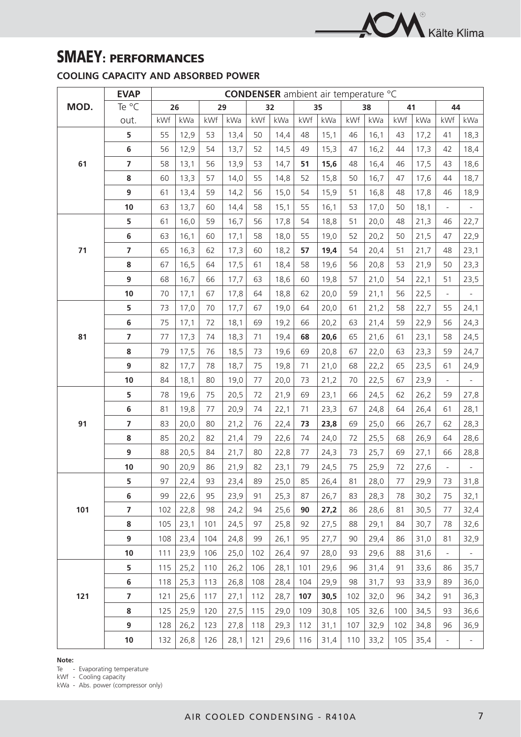

## **SMAEY: PERFORMANCES**

## **COOLING CAPACITY AND ABSORBED POWER**

|      | <b>EVAP</b>             | <b>CONDENSER</b> ambient air temperature °C |      |     |      |     |      |     |      |     |      |     |      |                          |                          |
|------|-------------------------|---------------------------------------------|------|-----|------|-----|------|-----|------|-----|------|-----|------|--------------------------|--------------------------|
| MOD. | Te °C                   |                                             | 26   | 29  |      |     | 32   |     | 35   |     | 38   |     | 41   | 44                       |                          |
|      | out.                    | kWf                                         | kWa  | kWf | kWa  | kWf | kWa  | kWf | kWa  | kWf | kWa  | kWf | kWa  | kWf                      | kWa                      |
|      | 5                       | 55                                          | 12,9 | 53  | 13,4 | 50  | 14,4 | 48  | 15,1 | 46  | 16,1 | 43  | 17,2 | 41                       | 18,3                     |
|      | 6                       | 56                                          | 12,9 | 54  | 13,7 | 52  | 14,5 | 49  | 15,3 | 47  | 16,2 | 44  | 17,3 | 42                       | 18,4                     |
| 61   | $\overline{7}$          | 58                                          | 13,1 | 56  | 13,9 | 53  | 14,7 | 51  | 15,6 | 48  | 16,4 | 46  | 17,5 | 43                       | 18,6                     |
|      | 8                       | 60                                          | 13,3 | 57  | 14,0 | 55  | 14,8 | 52  | 15,8 | 50  | 16,7 | 47  | 17,6 | 44                       | 18,7                     |
|      | 9                       | 61                                          | 13,4 | 59  | 14,2 | 56  | 15,0 | 54  | 15,9 | 51  | 16,8 | 48  | 17,8 | 46                       | 18,9                     |
|      | 10                      | 63                                          | 13,7 | 60  | 14,4 | 58  | 15,1 | 55  | 16,1 | 53  | 17,0 | 50  | 18,1 |                          |                          |
|      | 5                       | 61                                          | 16,0 | 59  | 16,7 | 56  | 17,8 | 54  | 18,8 | 51  | 20,0 | 48  | 21,3 | 46                       | 22,7                     |
|      | 6                       | 63                                          | 16,1 | 60  | 17,1 | 58  | 18,0 | 55  | 19,0 | 52  | 20,2 | 50  | 21,5 | 47                       | 22,9                     |
| 71   | $\overline{7}$          | 65                                          | 16,3 | 62  | 17,3 | 60  | 18,2 | 57  | 19,4 | 54  | 20,4 | 51  | 21,7 | 48                       | 23,1                     |
|      | 8                       | 67                                          | 16,5 | 64  | 17,5 | 61  | 18,4 | 58  | 19,6 | 56  | 20,8 | 53  | 21,9 | 50                       | 23,3                     |
|      | 9                       | 68                                          | 16,7 | 66  | 17,7 | 63  | 18,6 | 60  | 19,8 | 57  | 21,0 | 54  | 22,1 | 51                       | 23,5                     |
|      | 10                      | 70                                          | 17,1 | 67  | 17,8 | 64  | 18,8 | 62  | 20,0 | 59  | 21,1 | 56  | 22,5 | $\Box$                   | $\overline{\phantom{0}}$ |
|      | 5                       | 73                                          | 17,0 | 70  | 17,7 | 67  | 19,0 | 64  | 20,0 | 61  | 21,2 | 58  | 22,7 | 55                       | 24,1                     |
|      | 6                       | 75                                          | 17,1 | 72  | 18,1 | 69  | 19,2 | 66  | 20,2 | 63  | 21,4 | 59  | 22,9 | 56                       | 24,3                     |
| 81   | $\overline{\mathbf{z}}$ | 77                                          | 17,3 | 74  | 18,3 | 71  | 19,4 | 68  | 20,6 | 65  | 21,6 | 61  | 23,1 | 58                       | 24,5                     |
|      | 8                       | 79                                          | 17,5 | 76  | 18,5 | 73  | 19,6 | 69  | 20,8 | 67  | 22,0 | 63  | 23,3 | 59                       | 24,7                     |
|      | 9                       | 82                                          | 17,7 | 78  | 18,7 | 75  | 19,8 | 71  | 21,0 | 68  | 22,2 | 65  | 23,5 | 61                       | 24,9                     |
|      | 10                      | 84                                          | 18,1 | 80  | 19,0 | 77  | 20,0 | 73  | 21,2 | 70  | 22,5 | 67  | 23,9 |                          | $\overline{\phantom{0}}$ |
|      | 5                       | 78                                          | 19,6 | 75  | 20,5 | 72  | 21,9 | 69  | 23,1 | 66  | 24,5 | 62  | 26,2 | 59                       | 27,8                     |
|      | 6                       | 81                                          | 19,8 | 77  | 20,9 | 74  | 22,1 | 71  | 23,3 | 67  | 24,8 | 64  | 26,4 | 61                       | 28,1                     |
| 91   | $\overline{7}$          | 83                                          | 20,0 | 80  | 21,2 | 76  | 22,4 | 73  | 23,8 | 69  | 25,0 | 66  | 26,7 | 62                       | 28,3                     |
|      | 8                       | 85                                          | 20,2 | 82  | 21,4 | 79  | 22,6 | 74  | 24,0 | 72  | 25,5 | 68  | 26,9 | 64                       | 28,6                     |
|      | 9                       | 88                                          | 20,5 | 84  | 21,7 | 80  | 22,8 | 77  | 24,3 | 73  | 25,7 | 69  | 27,1 | 66                       | 28,8                     |
|      | 10                      | 90                                          | 20,9 | 86  | 21,9 | 82  | 23,1 | 79  | 24,5 | 75  | 25,9 | 72  | 27,6 |                          |                          |
|      | 5                       | 97                                          | 22,4 | 93  | 23,4 | 89  | 25,0 | 85  | 26,4 | 81  | 28,0 | 77  | 29,9 | 73                       | 31,8                     |
|      | 6                       | 99                                          | 22,6 | 95  | 23,9 | 91  | 25,3 | 87  | 26,7 | 83  | 28,3 | 78  | 30,2 | 75                       | 32,1                     |
| 101  | $\overline{\mathbf{z}}$ | 102                                         | 22,8 | 98  | 24,2 | 94  | 25,6 | 90  | 27,2 | 86  | 28,6 | 81  | 30,5 | 77                       | 32,4                     |
|      | 8                       | 105                                         | 23,1 | 101 | 24,5 | 97  | 25,8 | 92  | 27,5 | 88  | 29,1 | 84  | 30,7 | 78                       | 32,6                     |
|      | 9                       | 108                                         | 23,4 | 104 | 24,8 | 99  | 26,1 | 95  | 27,7 | 90  | 29,4 | 86  | 31,0 | 81                       | 32,9                     |
|      | 10                      | 111                                         | 23,9 | 106 | 25,0 | 102 | 26,4 | 97  | 28,0 | 93  | 29,6 | 88  | 31,6 |                          | -                        |
|      | 5                       | 115                                         | 25,2 | 110 | 26,2 | 106 | 28,1 | 101 | 29,6 | 96  | 31,4 | 91  | 33,6 | 86                       | 35,7                     |
|      | 6                       | 118                                         | 25,3 | 113 | 26,8 | 108 | 28,4 | 104 | 29,9 | 98  | 31,7 | 93  | 33,9 | 89                       | 36,0                     |
| 121  | $\overline{7}$          | 121                                         | 25,6 | 117 | 27,1 | 112 | 28,7 | 107 | 30,5 | 102 | 32,0 | 96  | 34,2 | 91                       | 36,3                     |
|      | 8                       | 125                                         | 25,9 | 120 | 27,5 | 115 | 29,0 | 109 | 30,8 | 105 | 32,6 | 100 | 34,5 | 93                       | 36,6                     |
|      | 9                       | 128                                         | 26,2 | 123 | 27,8 | 118 | 29,3 | 112 | 31,1 | 107 | 32,9 | 102 | 34,8 | 96                       | 36,9                     |
|      | $10$                    | 132                                         | 26,8 | 126 | 28,1 | 121 | 29,6 | 116 | 31,4 | 110 | 33,2 | 105 | 35,4 | $\overline{\phantom{a}}$ | $\overline{\phantom{a}}$ |

**Note:**

Te - Evaporating temperature

kWf - Cooling capacity

kWa - Abs. power (compressor only)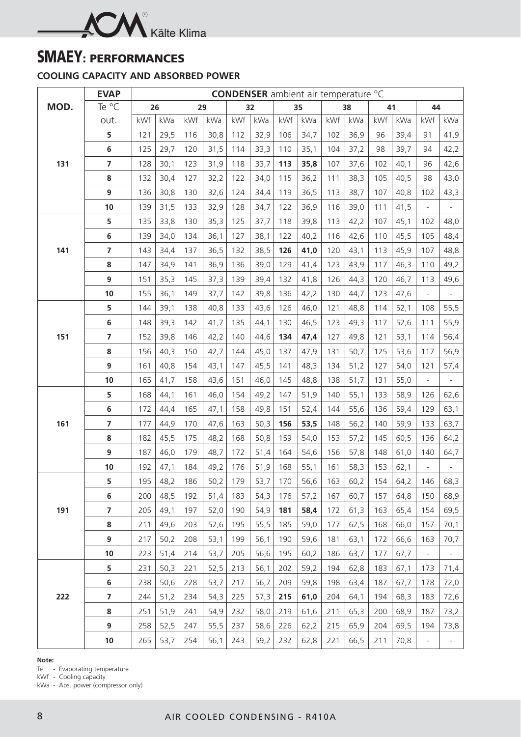

## **SMAEY: PERFORMANCES**

## **COOLING CAPACITY AND ABSORBED POWER**

|      | <b>EVAP</b>    | <b>CONDENSER</b> ambient air temperature °C |      |     |      |     |      |     |      |     |      |     |      |                          |                          |  |
|------|----------------|---------------------------------------------|------|-----|------|-----|------|-----|------|-----|------|-----|------|--------------------------|--------------------------|--|
| MOD. | Te °C          |                                             | 26   |     | 29   |     | 32   |     | 35   |     | 38   |     | 41   |                          | 44                       |  |
|      | out.           | kWf                                         | kWa  | kWf | kWa  | kWf | kWa  | kWf | kWa  | kWf | kWa  | kWf | kWa  | kWf                      | kWa                      |  |
|      | 5              | 121                                         | 29,5 | 116 | 30,8 | 112 | 32,9 | 106 | 34,7 | 102 | 36,9 | 96  | 39,4 | 91                       | 41,9                     |  |
|      | $\bf 6$        | 125                                         | 29,7 | 120 | 31,5 | 114 | 33,3 | 110 | 35,1 | 104 | 37,2 | 98  | 39,7 | 94                       | 42,2                     |  |
| 131  | $\overline{7}$ | 128                                         | 30,1 | 123 | 31,9 | 118 | 33,7 | 113 | 35,8 | 107 | 37,6 | 102 | 40,1 | 96                       | 42,6                     |  |
|      | 8              | 132                                         | 30,4 | 127 | 32,2 | 122 | 34,0 | 115 | 36,2 | 111 | 38,3 | 105 | 40,5 | 98                       | 43,0                     |  |
|      | 9              | 136                                         | 30,8 | 130 | 32,6 | 124 | 34,4 | 119 | 36,5 | 113 | 38,7 | 107 | 40,8 | 102                      | 43,3                     |  |
|      | 10             | 139                                         | 31,5 | 133 | 32,9 | 128 | 34,7 | 122 | 36,9 | 116 | 39,0 | 111 | 41,5 |                          |                          |  |
|      | 5              | 135                                         | 33,8 | 130 | 35,3 | 125 | 37,7 | 118 | 39,8 | 113 | 42,2 | 107 | 45,1 | 102                      | 48,0                     |  |
|      | $\bf 6$        | 139                                         | 34,0 | 134 | 36,1 | 127 | 38,1 | 122 | 40,2 | 116 | 42,6 | 110 | 45,5 | 105                      | 48,4                     |  |
| 141  | $\overline{7}$ | 143                                         | 34,4 | 137 | 36,5 | 132 | 38,5 | 126 | 41,0 | 120 | 43,1 | 113 | 45,9 | 107                      | 48,8                     |  |
|      | ${\bf 8}$      | 147                                         | 34,9 | 141 | 36,9 | 136 | 39,0 | 129 | 41,4 | 123 | 43,9 | 117 | 46,3 | 110                      | 49,2                     |  |
|      | 9              | 151                                         | 35,3 | 145 | 37,3 | 139 | 39,4 | 132 | 41,8 | 126 | 44,3 | 120 | 46,7 | 113                      | 49,6                     |  |
|      | 10             | 155                                         | 36,1 | 149 | 37,7 | 142 | 39,8 | 136 | 42,2 | 130 | 44,7 | 123 | 47,6 | $\overline{\phantom{a}}$ | $\overline{\phantom{a}}$ |  |
|      | 5              | 144                                         | 39,1 | 138 | 40,8 | 133 | 43,6 | 126 | 46,0 | 121 | 48,8 | 114 | 52,1 | 108                      | 55,5                     |  |
|      | $\bf 6$        | 148                                         | 39,3 | 142 | 41,7 | 135 | 44,1 | 130 | 46,5 | 123 | 49,3 | 117 | 52,6 | 111                      | 55,9                     |  |
| 151  | $\overline{7}$ | 152                                         | 39,8 | 146 | 42,2 | 140 | 44,6 | 134 | 47,4 | 127 | 49,8 | 121 | 53,1 | 114                      | 56,4                     |  |
|      | 8              | 156                                         | 40,3 | 150 | 42,7 | 144 | 45,0 | 137 | 47,9 | 131 | 50,7 | 125 | 53,6 | 117                      | 56,9                     |  |
|      | 9              | 161                                         | 40,8 | 154 | 43,1 | 147 | 45,5 | 141 | 48,3 | 134 | 51,2 | 127 | 54,0 | 121                      | 57,4                     |  |
|      | 10             | 165                                         | 41,7 | 158 | 43,6 | 151 | 46,0 | 145 | 48,8 | 138 | 51,7 | 131 | 55,0 |                          | $\overline{\phantom{a}}$ |  |
|      | 5              | 168                                         | 44,1 | 161 | 46,0 | 154 | 49,2 | 147 | 51,9 | 140 | 55,1 | 133 | 58,9 | 126                      | 62,6                     |  |
|      | $\bf 6$        | 172                                         | 44,4 | 165 | 47,1 | 158 | 49,8 | 151 | 52,4 | 144 | 55,6 | 136 | 59,4 | 129                      | 63,1                     |  |
| 161  | $\overline{7}$ | 177                                         | 44,9 | 170 | 47,6 | 163 | 50,3 | 156 | 53,5 | 148 | 56,2 | 140 | 59,9 | 133                      | 63,7                     |  |
|      | 8              | 182                                         | 45,5 | 175 | 48,2 | 168 | 50,8 | 159 | 54,0 | 153 | 57,2 | 145 | 60,5 | 136                      | 64,2                     |  |
|      | 9              | 187                                         | 46,0 | 179 | 48,7 | 172 | 51,4 | 164 | 54,6 | 156 | 57,8 | 148 | 61,0 | 140                      | 64,7                     |  |
|      | 10             | 192                                         | 47,1 | 184 | 49,2 | 176 | 51,9 | 168 | 55,1 | 161 | 58,3 | 153 | 62,1 | $\overline{\phantom{0}}$ |                          |  |
|      | 5              | 195                                         | 48,2 | 186 | 50,2 | 179 | 53,7 | 170 | 56,6 | 163 | 60,2 | 154 | 64,2 | 146                      | 68,3                     |  |
|      | $\bf 6$        | 200                                         | 48,5 | 192 | 51,4 | 183 | 54,3 | 176 | 57,2 | 167 | 60,7 | 157 | 64,8 | 150                      | 68,9                     |  |
| 191  | $\overline{7}$ | 205                                         | 49,1 | 197 | 52,0 | 190 | 54,9 | 181 | 58,4 | 172 | 61,3 | 163 | 65,4 | 154                      | 69,5                     |  |
|      | 8              | 211                                         | 49,6 | 203 | 52,6 | 195 | 55,5 | 185 | 59,0 | 177 | 62,5 | 168 | 66,0 | 157                      | 70,1                     |  |
|      | 9              | 217                                         | 50,2 | 208 | 53,1 | 199 | 56,1 | 190 | 59,6 | 181 | 63,1 | 172 | 66,6 | 163                      | 70,7                     |  |
|      | 10             | 223                                         | 51,4 | 214 | 53,7 | 205 | 56,6 | 195 | 60,2 | 186 | 63,7 | 177 | 67,7 |                          |                          |  |
|      | 5              | 231                                         | 50,3 | 221 | 52,5 | 213 | 56,1 | 202 | 59,2 | 194 | 62,8 | 183 | 67,1 | 173                      | 71,4                     |  |
|      | $\bf 6$        | 238                                         | 50,6 | 228 | 53,7 | 217 | 56,7 | 209 | 59,8 | 198 | 63,4 | 187 | 67,7 | 178                      | 72,0                     |  |
| 222  | $\overline{7}$ | 244                                         | 51,2 | 234 | 54,3 | 225 | 57,3 | 215 | 61,0 | 204 | 64,1 | 194 | 68,3 | 183                      | 72,6                     |  |
|      | 8              | 251                                         | 51,9 | 241 | 54,9 | 232 | 58,0 | 219 | 61,6 | 211 | 65,3 | 200 | 68,9 | 187                      | 73,2                     |  |
|      | 9              | 258                                         | 52,5 | 247 | 55,5 | 237 | 58,6 | 226 | 62,2 | 215 | 65,9 | 204 | 69,5 | 194                      | 73,8                     |  |
|      | 10             | 265                                         | 53,7 | 254 | 56,1 | 243 | 59,2 | 232 | 62,8 | 221 | 66,5 | 211 | 70,8 | $\overline{\phantom{a}}$ | $\overline{\phantom{a}}$ |  |

**Note:**

Te - Evaporating temperature

kWf - Cooling capacity

kWa - Abs. power (compressor only)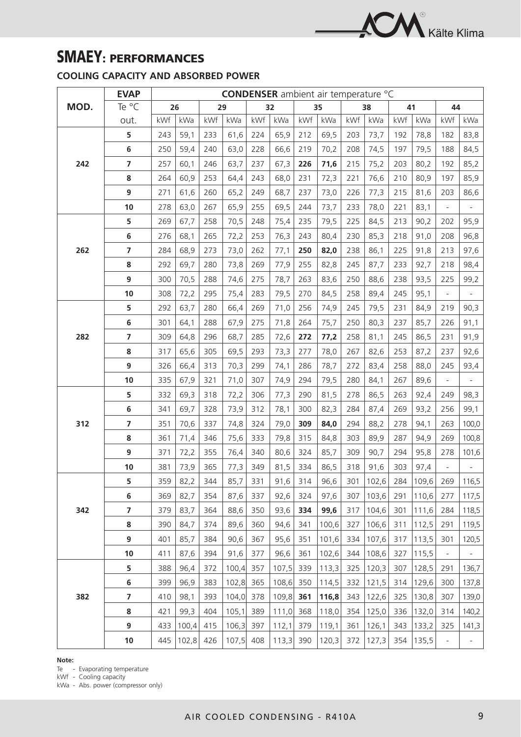

## **SMAEY: PERFORMANCES**

## **COOLING CAPACITY AND ABSORBED POWER**

|      | <b>EVAP</b>             | <b>CONDENSER</b> ambient air temperature °C |       |     |       |     |       |     |       |     |       |     |       |                          |                          |
|------|-------------------------|---------------------------------------------|-------|-----|-------|-----|-------|-----|-------|-----|-------|-----|-------|--------------------------|--------------------------|
| MOD. | Te °C                   |                                             | 26    | 29  |       |     | 32    |     | 35    |     | 38    |     | 41    | 44                       |                          |
|      | out.                    | kWf                                         | kWa   | kWf | kWa   | kWf | kWa   | kWf | kWa   | kWf | kWa   | kWf | kWa   | kWf                      | kWa                      |
|      | 5                       | 243                                         | 59,1  | 233 | 61,6  | 224 | 65,9  | 212 | 69,5  | 203 | 73,7  | 192 | 78,8  | 182                      | 83,8                     |
|      | 6                       | 250                                         | 59,4  | 240 | 63,0  | 228 | 66,6  | 219 | 70,2  | 208 | 74,5  | 197 | 79,5  | 188                      | 84,5                     |
| 242  | $\overline{7}$          | 257                                         | 60,1  | 246 | 63,7  | 237 | 67,3  | 226 | 71,6  | 215 | 75,2  | 203 | 80,2  | 192                      | 85,2                     |
|      | 8                       | 264                                         | 60,9  | 253 | 64,4  | 243 | 68,0  | 231 | 72,3  | 221 | 76,6  | 210 | 80,9  | 197                      | 85,9                     |
|      | 9                       | 271                                         | 61,6  | 260 | 65,2  | 249 | 68,7  | 237 | 73,0  | 226 | 77,3  | 215 | 81,6  | 203                      | 86,6                     |
|      | 10                      | 278                                         | 63,0  | 267 | 65,9  | 255 | 69,5  | 244 | 73,7  | 233 | 78,0  | 221 | 83,1  | $\overline{\phantom{a}}$ |                          |
|      | 5                       | 269                                         | 67,7  | 258 | 70,5  | 248 | 75,4  | 235 | 79,5  | 225 | 84,5  | 213 | 90,2  | 202                      | 95,9                     |
|      | 6                       | 276                                         | 68,1  | 265 | 72,2  | 253 | 76,3  | 243 | 80,4  | 230 | 85,3  | 218 | 91,0  | 208                      | 96,8                     |
| 262  | $\overline{7}$          | 284                                         | 68,9  | 273 | 73,0  | 262 | 77,1  | 250 | 82,0  | 238 | 86,1  | 225 | 91,8  | 213                      | 97,6                     |
|      | 8                       | 292                                         | 69,7  | 280 | 73,8  | 269 | 77,9  | 255 | 82,8  | 245 | 87,7  | 233 | 92,7  | 218                      | 98,4                     |
|      | 9                       | 300                                         | 70,5  | 288 | 74,6  | 275 | 78,7  | 263 | 83,6  | 250 | 88,6  | 238 | 93,5  | 225                      | 99,2                     |
|      | 10                      | 308                                         | 72,2  | 295 | 75,4  | 283 | 79,5  | 270 | 84,5  | 258 | 89,4  | 245 | 95,1  | $\Box$                   |                          |
|      | 5                       | 292                                         | 63,7  | 280 | 66,4  | 269 | 71,0  | 256 | 74,9  | 245 | 79,5  | 231 | 84,9  | 219                      | 90,3                     |
|      | 6                       | 301                                         | 64,1  | 288 | 67,9  | 275 | 71,8  | 264 | 75,7  | 250 | 80,3  | 237 | 85,7  | 226                      | 91,1                     |
| 282  | $\overline{\mathbf{z}}$ | 309                                         | 64,8  | 296 | 68,7  | 285 | 72,6  | 272 | 77,2  | 258 | 81,1  | 245 | 86,5  | 231                      | 91,9                     |
|      | 8                       | 317                                         | 65,6  | 305 | 69,5  | 293 | 73,3  | 277 | 78,0  | 267 | 82,6  | 253 | 87,2  | 237                      | 92,6                     |
|      | 9                       | 326                                         | 66,4  | 313 | 70,3  | 299 | 74,1  | 286 | 78,7  | 272 | 83,4  | 258 | 88,0  | 245                      | 93,4                     |
|      | 10                      | 335                                         | 67,9  | 321 | 71,0  | 307 | 74,9  | 294 | 79,5  | 280 | 84,1  | 267 | 89,6  | $\overline{\phantom{a}}$ | $\qquad \qquad -$        |
|      | 5                       | 332                                         | 69,3  | 318 | 72,2  | 306 | 77,3  | 290 | 81,5  | 278 | 86,5  | 263 | 92,4  | 249                      | 98,3                     |
|      | $\bf 6$                 | 341                                         | 69,7  | 328 | 73,9  | 312 | 78,1  | 300 | 82,3  | 284 | 87,4  | 269 | 93,2  | 256                      | 99,1                     |
| 312  | $\overline{7}$          | 351                                         | 70,6  | 337 | 74,8  | 324 | 79,0  | 309 | 84,0  | 294 | 88,2  | 278 | 94,1  | 263                      | 100,0                    |
|      | 8                       | 361                                         | 71,4  | 346 | 75,6  | 333 | 79,8  | 315 | 84,8  | 303 | 89,9  | 287 | 94,9  | 269                      | 100,8                    |
|      | 9                       | 371                                         | 72,2  | 355 | 76,4  | 340 | 80,6  | 324 | 85,7  | 309 | 90,7  | 294 | 95,8  | 278                      | 101,6                    |
|      | 10                      | 381                                         | 73,9  | 365 | 77,3  | 349 | 81,5  | 334 | 86,5  | 318 | 91,6  | 303 | 97,4  | $\overline{\phantom{a}}$ |                          |
|      | 5                       | 359                                         | 82,2  | 344 | 85,7  | 331 | 91,6  | 314 | 96,6  | 301 | 102,6 | 284 | 109,6 | 269                      | 116,5                    |
|      | 6                       | 369                                         | 82,7  | 354 | 87,6  | 337 | 92,6  | 324 | 97,6  | 307 | 103,6 | 291 | 110,6 | 277                      | 117,5                    |
| 342  | 7                       | 379                                         | 83,7  | 364 | 88,6  | 350 | 93,6  | 334 | 99,6  | 317 | 104,6 | 301 | 111,6 | 284                      | 118,5                    |
|      | 8                       | 390                                         | 84,7  | 374 | 89,6  | 360 | 94,6  | 341 | 100,6 | 327 | 106,6 | 311 | 112,5 | 291                      | 119,5                    |
|      | 9                       | 401                                         | 85,7  | 384 | 90,6  | 367 | 95,6  | 351 | 101,6 | 334 | 107,6 | 317 | 113,5 | 301                      | 120,5                    |
|      | 10                      | 411                                         | 87,6  | 394 | 91,6  | 377 | 96,6  | 361 | 102,6 | 344 | 108,6 | 327 | 115,5 | $\overline{\phantom{a}}$ | $\overline{\phantom{0}}$ |
|      | 5                       | 388                                         | 96,4  | 372 | 100,4 | 357 | 107,5 | 339 | 113,3 | 325 | 120,3 | 307 | 128,5 | 291                      | 136,7                    |
|      | 6                       | 399                                         | 96,9  | 383 | 102,8 | 365 | 108,6 | 350 | 114,5 | 332 | 121,5 | 314 | 129,6 | 300                      | 137,8                    |
| 382  | $\overline{\mathbf{z}}$ | 410                                         | 98,1  | 393 | 104,0 | 378 | 109,8 | 361 | 116,8 | 343 | 122,6 | 325 | 130,8 | 307                      | 139,0                    |
|      | 8                       | 421                                         | 99,3  | 404 | 105,1 | 389 | 111,0 | 368 | 118,0 | 354 | 125,0 | 336 | 132,0 | 314                      | 140,2                    |
|      | 9                       | 433                                         | 100,4 | 415 | 106,3 | 397 | 112,1 | 379 | 119,1 | 361 | 126,1 | 343 | 133,2 | 325                      | 141,3                    |
|      | 10                      | 445                                         | 102,8 | 426 | 107,5 | 408 | 113,3 | 390 | 120,3 | 372 | 127,3 | 354 | 135,5 | $\overline{\phantom{a}}$ | $\qquad \qquad -$        |

### **Note:**

Te - Evaporating temperature

kWf - Cooling capacity

kWa - Abs. power (compressor only)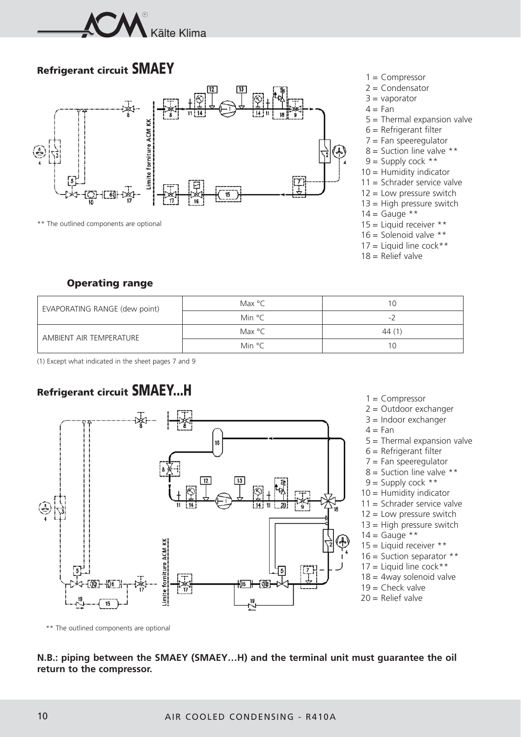

## **Refrigerant circuit SMAEY**



\*\* The outlined components are optional

- 1 = Compressor
- $2 =$  Condensator
- $3 =$  vaporator
- $4 = Fan$
- 5 = Thermal expansion valve
- $6$  = Refrigerant filter
- $7 =$  Fan speeregulator
- $8 =$  Suction line valve \*\*
- $9 =$  Supply cock \*\*
- $10 =$  Humidity indicator
- 11 = Schrader service valve
- $12$  = Low pressure switch
- $13$  = High pressure switch
- $14 =$  Gauge \*\*
- $15 =$  Liquid receiver \*\*
- 16 = Solenoid valve  $**$
- $17 =$  Liquid line cock \*\*
- $18 =$  Relief valve

### **Operating range**

| EVAPORATING RANGE (dew point) | Max °C           | 10                       |
|-------------------------------|------------------|--------------------------|
|                               | Min °C           | $\overline{\phantom{a}}$ |
| AMBIENT AIR TEMPERATURE       | Max $^{\circ}$ C | 44(1)                    |
|                               | Min °C           | 10                       |

(1) Except what indicated in the sheet pages 7 and 9

## **Refrigerant circuit SMAEY...H**



- $1 =$  Compressor
- 2 = Outdoor exchanger
- 3 = Indoor exchanger
- 5 = Thermal expansion valve
- 6 = Refrigerant filter
- $7$  = Fan speeregulator
- $8 =$  Suction line valve \*\*
- $9 =$  Supply cock \*\*
- 10 = Humidity indicator
- 11 = Schrader service valve
- $12$  = Low pressure switch
- $13$  = High pressure switch
- $14 =$  Gauge \*\*
- $15 =$  Liquid receiver \*\*
- 16 = Suction separator \*\*
- $17 =$  Liquid line cock\*\*
- $18 = 4$ way solenoid valve
- 
- 

\*\* The outlined components are optional

### **N.B.: piping between the SMAEY (SMAEY…H) and the terminal unit must guarantee the oil return to the compressor.**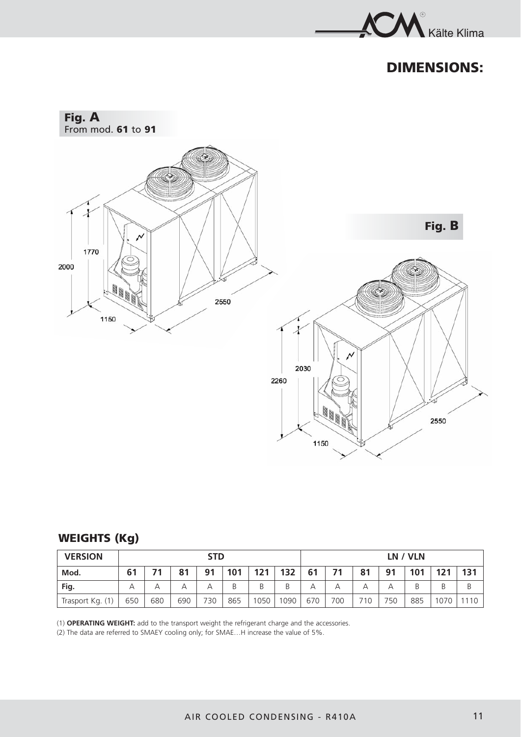

## **DIMENSIONS:**



## **WEIGHTS (Kg)**

| <b>VERSION</b>   | <b>STD</b><br>74 |     |     |     |     |                   |      |     |     |     |     | LN / VLN |      |      |
|------------------|------------------|-----|-----|-----|-----|-------------------|------|-----|-----|-----|-----|----------|------|------|
| Mod.             | 61               |     | 81  | 91  | 101 | 121               | 132  | 61  | 71  | 81  | 91  | 101      | 121  | 131  |
| Fig.             |                  |     | А   | А   | В   | B                 | B    | А   |     | А   | А   |          | B    | Β    |
| Trasport Kg. (1) | 650              | 680 | 690 | 730 | 865 | 1050 <sub>1</sub> | 1090 | 670 | 700 | 710 | 750 | 885      | 1070 | 1110 |

(1) **OPERATING WEIGHT:** add to the transport weight the refrigerant charge and the accessories.

(2) The data are referred to SMAEY cooling only; for SMAE…H increase the value of 5%.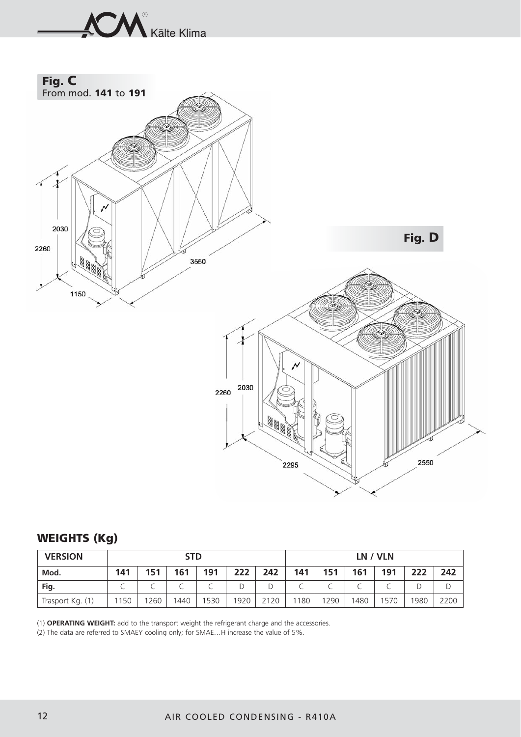

## **WEIGHTS (Kg)**

| <b>VERSION</b>   |     |      | <b>STD</b> |      |      |      | LN / VLN |      |      |      |      |      |  |
|------------------|-----|------|------------|------|------|------|----------|------|------|------|------|------|--|
| Mod.             | 141 | 151  | 161        | 191  | 222  | 242  | 141      | 151  | 161  | 191  | 222  | 242  |  |
| Fig.             |     |      |            |      |      |      |          |      |      |      |      |      |  |
| Trasport Kg. (1) | 150 | 1260 | 1440       | 1530 | 1920 | 2120 | 1180     | 1290 | 1480 | 1570 | 1980 | 2200 |  |

(1) **OPERATING WEIGHT:** add to the transport weight the refrigerant charge and the accessories.

(2) The data are referred to SMAEY cooling only; for SMAE…H increase the value of 5%.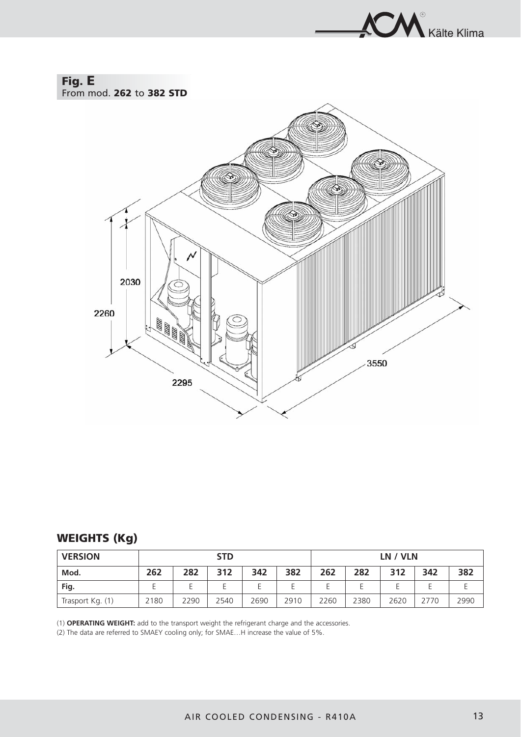

## **Fig. E**

From mod. **262** to **382 STD**



## **WEIGHTS (Kg)**

| <b>VERSION</b>   | <b>STD</b> |      |      |      |      | LN / VLN |      |      |      |      |
|------------------|------------|------|------|------|------|----------|------|------|------|------|
| Mod.             | 262        | 282  | 312  | 342  | 382  | 262      | 282  | 312  | 342  | 382  |
| Fig.             |            |      |      |      |      |          |      |      |      |      |
| Trasport Kg. (1) | 2180       | 2290 | 2540 | 2690 | 2910 | 2260     | 2380 | 2620 | 2770 | 2990 |

(1) **OPERATING WEIGHT:** add to the transport weight the refrigerant charge and the accessories.

(2) The data are referred to SMAEY cooling only; for SMAE…H increase the value of 5%.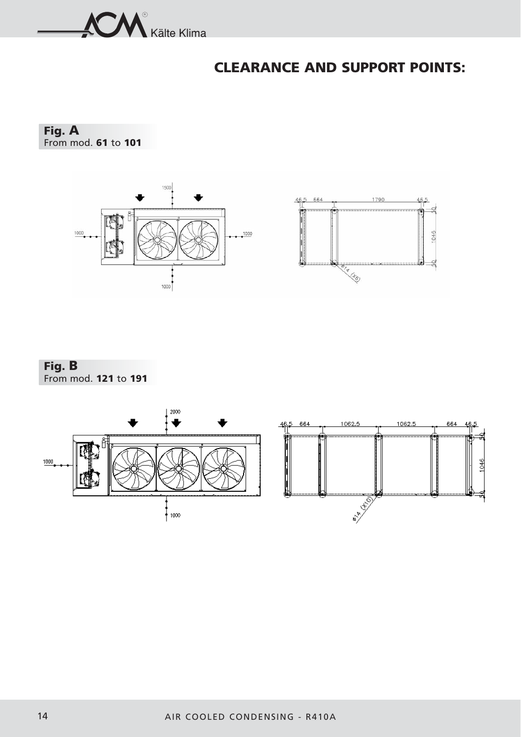

## **CLEARANCE AND SUPPORT POINTS:**

**Fig. A** From mod. **61** to **101**





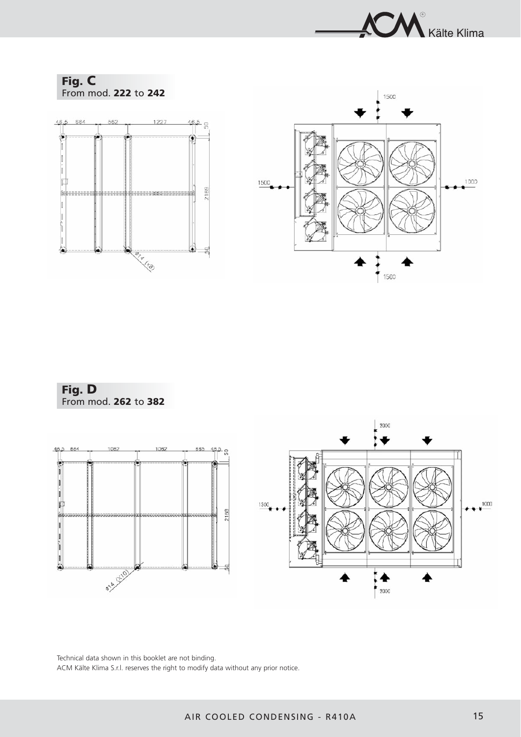



**Fig. D** From mod. **262** to **382**



Technical data shown in this booklet are not binding. ACM Kälte Klima S.r.l. reserves the right to modify data without any prior notice.